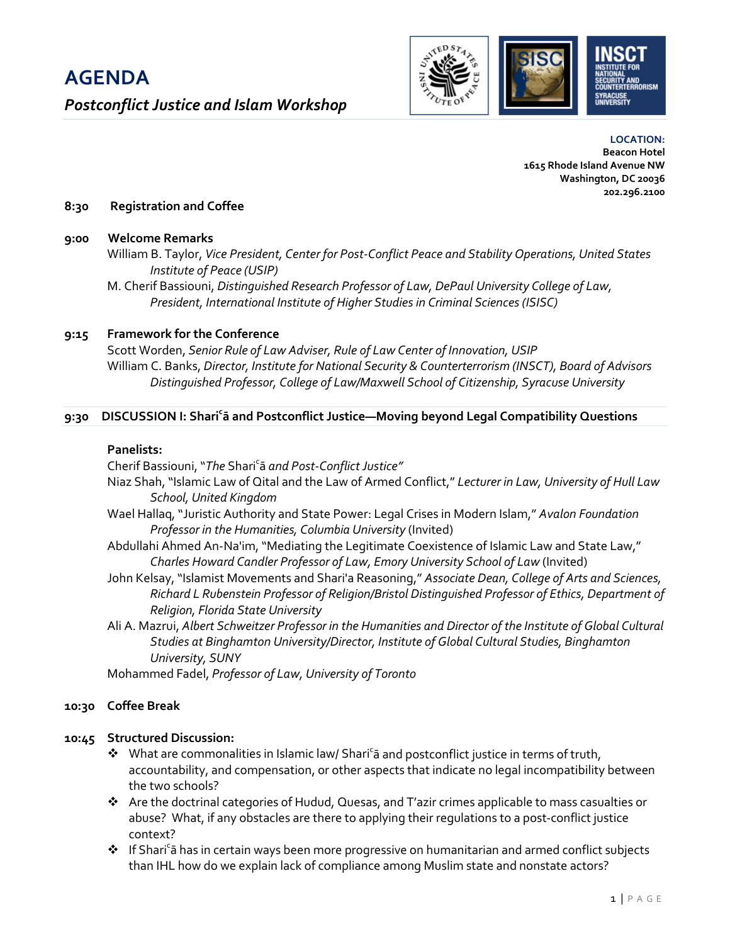

**LOCATION: Beacon Hotel 1615 Rhode Island Avenue NW Washington, DC 20036 202.296.2100**

# **8:30 Registration and Coffee**

# **9:00 Welcome Remarks**

- William B. Taylor, *Vice President, Center for Post-Conflict Peace and Stability Operations, United States Institute of Peace (USIP)*
- M. Cherif Bassiouni, *Distinguished Research Professor of Law, DePaul University College of Law, President, International Institute of Higher Studies in Criminal Sciences (ISISC)*

# **9:15 Framework for the Conference**

Scott Worden, *Senior Rule of Law Adviser, Rule of Law Center of Innovation, USIP* William C. Banks, *Director, Institute for National Security & Counterterrorism (INSCT), Board of Advisors Distinguished Professor, College of Law/Maxwell School of Citizenship, Syracuse University*

# **9:30 DISCUSSION I: Shari<sup>c</sup> ā and Postconflict Justice—Moving beyond Legal Compatibility Questions**

# **Panelists:**

Cherif Bassiouni, "*The* Sharic ā *and Post-Conflict Justice"*

- Niaz Shah, "Islamic Law of Qital and the Law of Armed Conflict," *Lecturer in Law, University of Hull Law School, United Kingdom*
- Wael Hallaq, "Juristic Authority and State Power: Legal Crises in Modern Islam," *Avalon Foundation Professor in the Humanities, Columbia University* (Invited)
- Abdullahi Ahmed An-Na'im, "Mediating the Legitimate Coexistence of Islamic Law and State Law," *Charles Howard Candler Professor of Law, Emory University School of Law* (Invited)
- John Kelsay, "Islamist Movements and Shari'a Reasoning," *Associate Dean, College of Arts and Sciences, Richard L Rubenstein Professor of Religion/Bristol Distinguished Professor of Ethics, Department of Religion, Florida State University*
- Ali A. Mazrui, *Albert Schweitzer Professor in the Humanities and Director of the Institute of Global Cultural Studies at Binghamton University/Director, Institute of Global Cultural Studies, Binghamton University, SUNY*

Mohammed Fadel, *Professor of Law, University of Toronto*

# **10:30 Coffee Break**

# **10:45 Structured Discussion:**

- ◆ What are commonalities in Islamic law/ Shari<sup>c</sup>a and postconflict justice in terms of truth, accountability, and compensation, or other aspects that indicate no legal incompatibility between the two schools?
- $\triangle$  Are the doctrinal categories of Hudud, Quesas, and T'azir crimes applicable to mass casualties or abuse? What, if any obstacles are there to applying their regulations to a post-conflict justice context?
- ◆ If Shari<sup>c</sup>ā has in certain ways been more progressive on humanitarian and armed conflict subjects than IHL how do we explain lack of compliance among Muslim state and nonstate actors?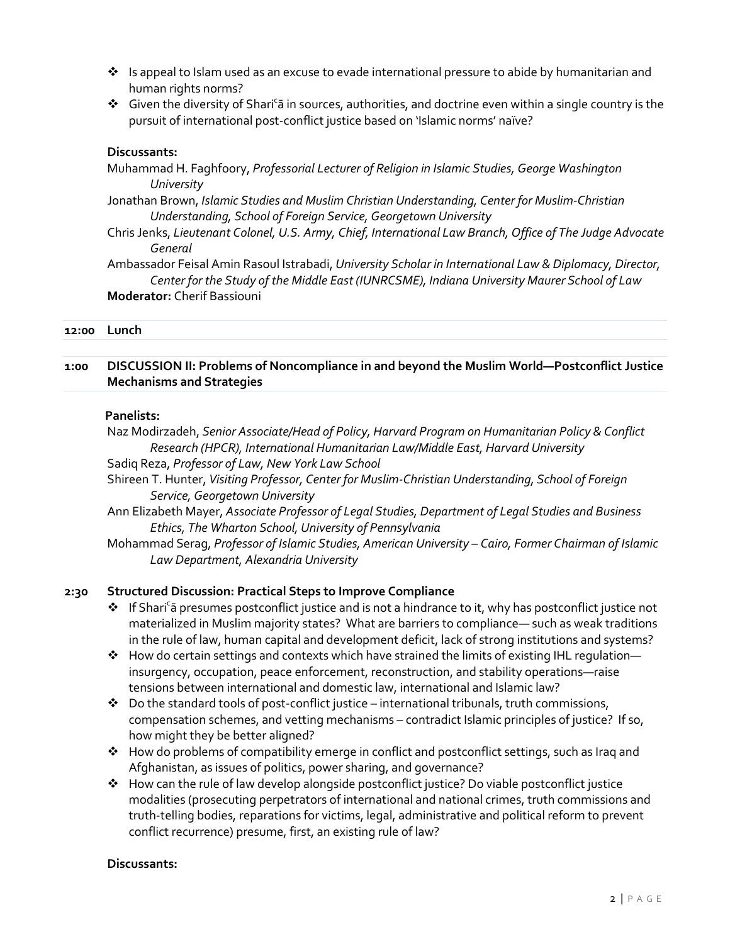- $\cdot \cdot$  Is appeal to Islam used as an excuse to evade international pressure to abide by humanitarian and human rights norms?
- Given the diversity of Shari<sup>c</sup>a in sources, authorities, and doctrine even within a single country is the pursuit of international post-conflict justice based on 'Islamic norms' naïve?

# **Discussants:**

Muhammad H. Faghfoory, *Professorial Lecturer of Religion in Islamic Studies, George Washington University*

Jonathan Brown, *Islamic Studies and Muslim Christian Understanding, Center for Muslim-Christian Understanding, School of Foreign Service, Georgetown University*

Chris Jenks, *Lieutenant Colonel, U.S. Army, Chief, International Law Branch, Office of The Judge Advocate General*

Ambassador Feisal Amin Rasoul Istrabadi, *University Scholar in International Law & Diplomacy, Director, Center for the Study of the Middle East (IUNRCSME), Indiana University Maurer School of Law* **Moderator:** Cherif Bassiouni

#### **12:00 Lunch**

# **1:00 DISCUSSION II: Problems of Noncompliance in and beyond the Muslim World—Postconflict Justice Mechanisms and Strategies**

#### **Panelists:**

Naz Modirzadeh, *Senior Associate/Head of Policy, Harvard Program on Humanitarian Policy & Conflict Research (HPCR), International Humanitarian Law/Middle East, Harvard University* 

Sadiq Reza, *Professor of Law, New York Law School*

Shireen T. Hunter, *Visiting Professor, Center for Muslim-Christian Understanding, School of Foreign Service, Georgetown University*

Ann Elizabeth Mayer, *Associate Professor of Legal Studies, Department of Legal Studies and Business Ethics, The Wharton School, University of Pennsylvania*

Mohammad Serag, *Professor of Islamic Studies, American University – Cairo, Former Chairman of Islamic Law Department, Alexandria University*

# **2:30 Structured Discussion: Practical Steps to Improve Compliance**

- \* If Shari<sup>c</sup>a presumes postconflict justice and is not a hindrance to it, why has postconflict justice not materialized in Muslim majority states? What are barriers to compliance— such as weak traditions in the rule of law, human capital and development deficit, lack of strong institutions and systems?
- $\triangle$  How do certain settings and contexts which have strained the limits of existing IHL regulation insurgency, occupation, peace enforcement, reconstruction, and stability operations—raise tensions between international and domestic law, international and Islamic law?
- $\bullet$  Do the standard tools of post-conflict justice international tribunals, truth commissions, compensation schemes, and vetting mechanisms – contradict Islamic principles of justice? If so, how might they be better aligned?
- $\clubsuit$  How do problems of compatibility emerge in conflict and postconflict settings, such as Iraq and Afghanistan, as issues of politics, power sharing, and governance?
- $\triangle$  How can the rule of law develop alongside postconflict justice? Do viable postconflict justice modalities (prosecuting perpetrators of international and national crimes, truth commissions and truth-telling bodies, reparations for victims, legal, administrative and political reform to prevent conflict recurrence) presume, first, an existing rule of law?

#### **Discussants:**